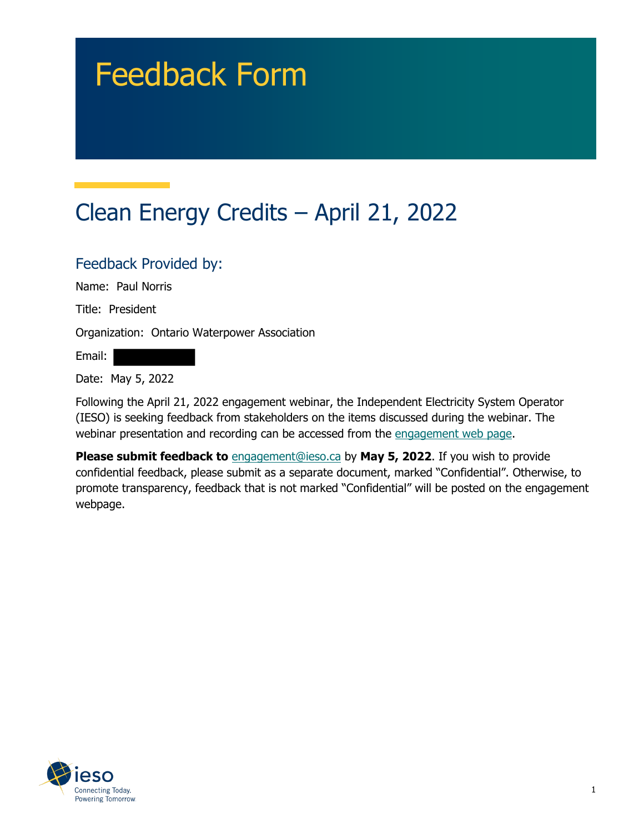# Feedback Form

# Clean Energy Credits – April 21, 2022

#### Feedback Provided by:

Name: Paul Norris

Title: President

Organization: Ontario Waterpower Association

Email:

Date: May 5, 2022

Following the April 21, 2022 engagement webinar, the Independent Electricity System Operator (IESO) is seeking feedback from stakeholders on the items discussed during the webinar. The webinar presentation and recording can be accessed from the [engagement web page.](https://www.ieso.ca/en/Sector-Participants/Engagement-Initiatives/Engagements/Clean-Energy-Credits)

**Please submit feedback to** [engagement@ieso.ca](mailto:engagement@ieso.ca) by **May 5, 2022**. If you wish to provide confidential feedback, please submit as a separate document, marked "Confidential". Otherwise, to promote transparency, feedback that is not marked "Confidential" will be posted on the engagement webpage.